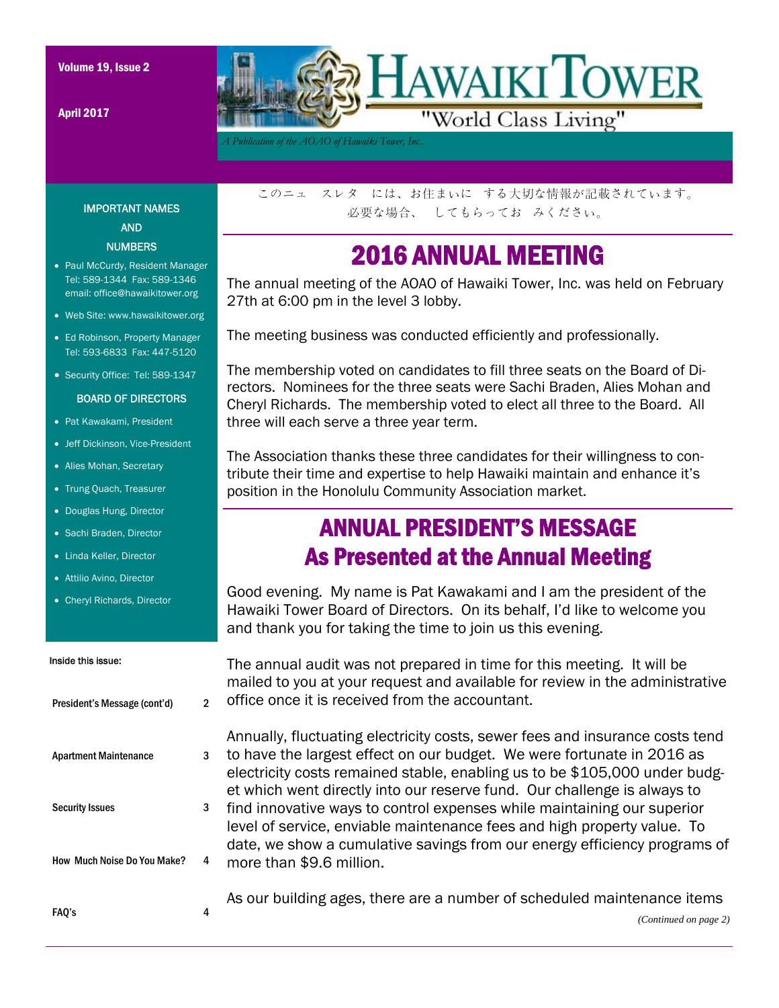April 2017



*A Publication of the AOAO of Hawaiki Tower, Inc..* 

IMPORTANT NAMES AND **NUMBERS** 

- Paul McCurdy, Resident Manager Tel: 589-1344 Fax: 589-1346 email: office@hawaikitower.org
- Web Site: www.hawaikitower.org
- Ed Robinson, Property Manager Tel: 593-6833 Fax: 447-5120
- Security Office: Tel: 589-1347

#### BOARD OF DIRECTORS

- Pat Kawakami, President
- Jeff Dickinson, Vice-President
- Alies Mohan, Secretary
- Trung Quach, Treasurer
- Douglas Hung, Director
- Sachi Braden, Director
- Linda Keller, Director
- Attilio Avino, Director
- Cheryl Richards, Director

#### Inside this issue:

|   | r          |
|---|------------|
| 2 | c          |
|   |            |
| 3 | t          |
|   | $\epsilon$ |
|   | є          |
|   | f          |
|   | I۱         |
|   | c          |
|   | r          |
|   | Д          |
| 4 |            |
|   | 3<br>4     |

このニュ スレタ には、お住まいに する大切な情報が記載されています。 必要な場合、 してもらってお みください。

### 2016 ANNUAL MEETING

The annual meeting of the AOAO of Hawaiki Tower, Inc. was held on February 27th at 6:00 pm in the level 3 lobby.

The meeting business was conducted efficiently and professionally.

The membership voted on candidates to fill three seats on the Board of Directors. Nominees for the three seats were Sachi Braden, Alies Mohan and Cheryl Richards. The membership voted to elect all three to the Board. All three will each serve a three year term.

The Association thanks these three candidates for their willingness to contribute their time and expertise to help Hawaiki maintain and enhance it's position in the Honolulu Community Association market.

### ANNUAL PRESIDENT'S MESSAGE As Presented at the Annual Meeting

Good evening. My name is Pat Kawakami and I am the president of the Hawaiki Tower Board of Directors. On its behalf, I'd like to welcome you and thank you for taking the time to join us this evening.

The annual audit was not prepared in time for this meeting. It will be mailed to you at your request and available for review in the administrative office once it is received from the accountant.

Annually, fluctuating electricity costs, sewer fees and insurance costs tend o have the largest effect on our budget. We were fortunate in 2016 as lectricity costs remained stable, enabling us to be \$105,000 under budget which went directly into our reserve fund. Our challenge is always to ind innovative ways to control expenses while maintaining our superior level of service, enviable maintenance fees and high property value. To date, we show a cumulative savings from our energy efficiency programs of more than \$9.6 million.

is our building ages, there are a number of scheduled maintenance items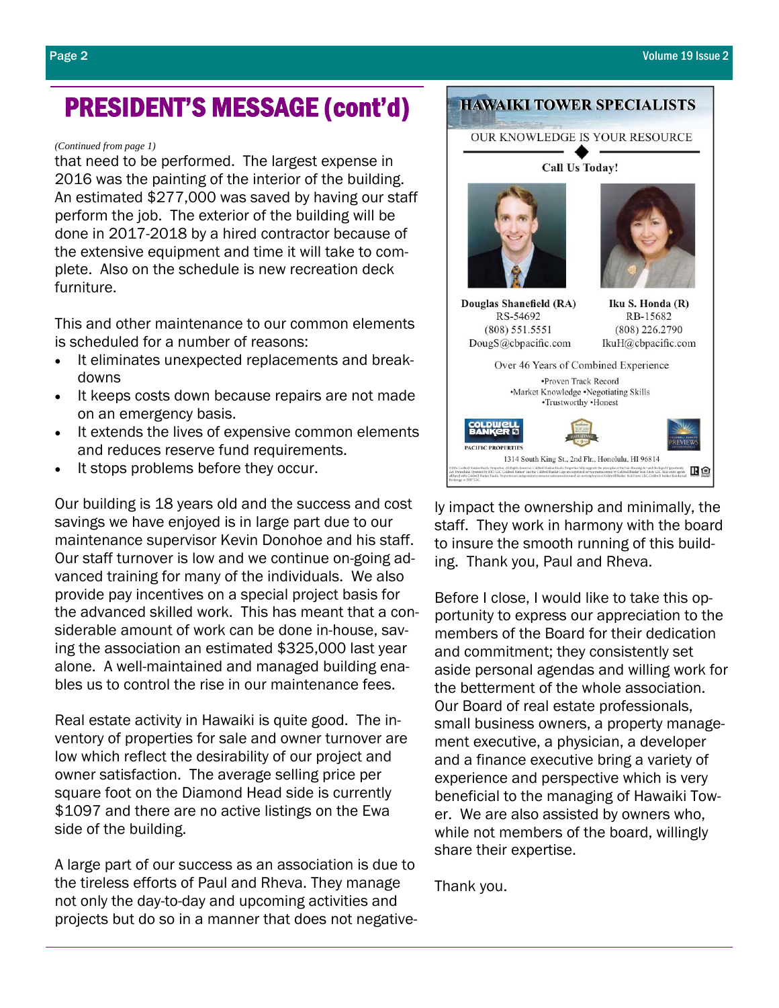## PRESIDENT'S MESSAGE (cont'd)

#### *(Continued from page 1)*

that need to be performed. The largest expense in 2016 was the painting of the interior of the building. An estimated \$277,000 was saved by having our staff perform the job. The exterior of the building will be done in 2017-2018 by a hired contractor because of the extensive equipment and time it will take to complete. Also on the schedule is new recreation deck furniture.

This and other maintenance to our common elements is scheduled for a number of reasons:

- It eliminates unexpected replacements and breakdowns
- It keeps costs down because repairs are not made on an emergency basis.
- It extends the lives of expensive common elements and reduces reserve fund requirements.
- It stops problems before they occur.

Our building is 18 years old and the success and cost savings we have enjoyed is in large part due to our maintenance supervisor Kevin Donohoe and his staff. Our staff turnover is low and we continue on-going advanced training for many of the individuals. We also provide pay incentives on a special project basis for the advanced skilled work. This has meant that a considerable amount of work can be done in-house, saving the association an estimated \$325,000 last year alone. A well-maintained and managed building enables us to control the rise in our maintenance fees.

Real estate activity in Hawaiki is quite good. The inventory of properties for sale and owner turnover are low which reflect the desirability of our project and owner satisfaction. The average selling price per square foot on the Diamond Head side is currently \$1097 and there are no active listings on the Ewa side of the building.

A large part of our success as an association is due to the tireless efforts of Paul and Rheva. They manage not only the day-to-day and upcoming activities and projects but do so in a manner that does not negative-



ly impact the ownership and minimally, the staff. They work in harmony with the board to insure the smooth running of this building. Thank you, Paul and Rheva.

Before I close, I would like to take this opportunity to express our appreciation to the members of the Board for their dedication and commitment; they consistently set aside personal agendas and willing work for the betterment of the whole association. Our Board of real estate professionals, small business owners, a property management executive, a physician, a developer and a finance executive bring a variety of experience and perspective which is very beneficial to the managing of Hawaiki Tower. We are also assisted by owners who, while not members of the board, willingly share their expertise.

Thank you.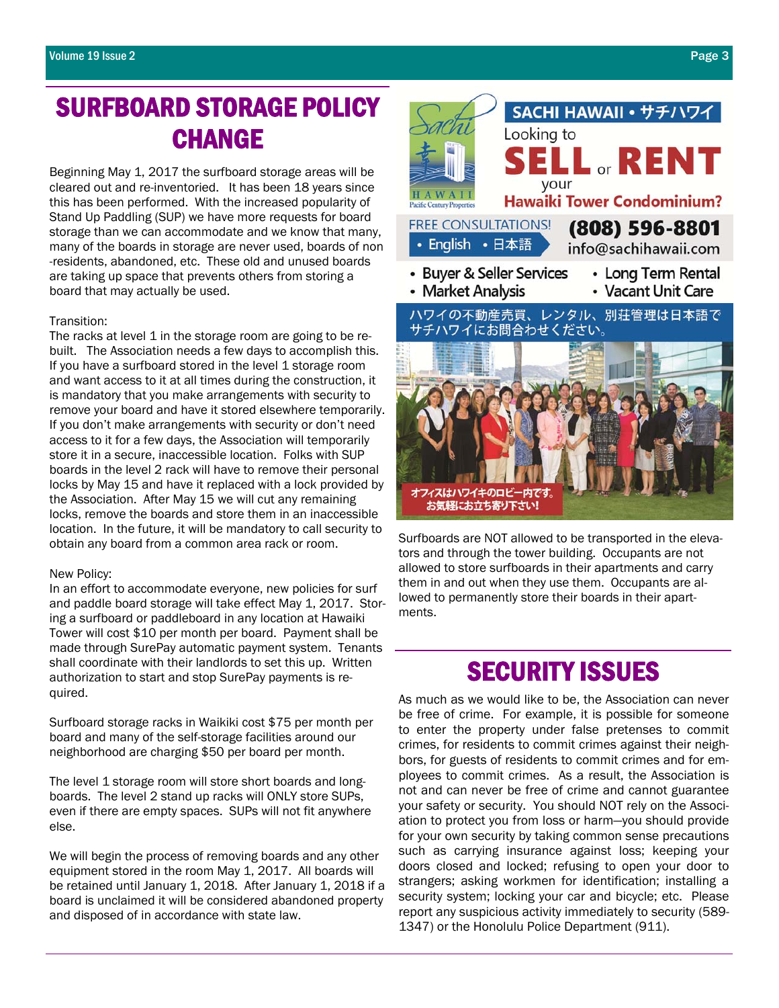# SURFBOARD STORAGE POLICY CHANGE

Beginning May 1, 2017 the surfboard storage areas will be cleared out and re-inventoried. It has been 18 years since this has been performed. With the increased popularity of Stand Up Paddling (SUP) we have more requests for board storage than we can accommodate and we know that many, many of the boards in storage are never used, boards of non -residents, abandoned, etc. These old and unused boards are taking up space that prevents others from storing a board that may actually be used.

#### Transition:

The racks at level 1 in the storage room are going to be rebuilt. The Association needs a few days to accomplish this. If you have a surfboard stored in the level 1 storage room and want access to it at all times during the construction, it is mandatory that you make arrangements with security to remove your board and have it stored elsewhere temporarily. If you don't make arrangements with security or don't need access to it for a few days, the Association will temporarily store it in a secure, inaccessible location. Folks with SUP boards in the level 2 rack will have to remove their personal locks by May 15 and have it replaced with a lock provided by the Association. After May 15 we will cut any remaining locks, remove the boards and store them in an inaccessible location. In the future, it will be mandatory to call security to obtain any board from a common area rack or room.

#### New Policy:

In an effort to accommodate everyone, new policies for surf and paddle board storage will take effect May 1, 2017. Storing a surfboard or paddleboard in any location at Hawaiki Tower will cost \$10 per month per board. Payment shall be made through SurePay automatic payment system. Tenants shall coordinate with their landlords to set this up. Written authorization to start and stop SurePay payments is required.

Surfboard storage racks in Waikiki cost \$75 per month per board and many of the self-storage facilities around our neighborhood are charging \$50 per board per month.

The level 1 storage room will store short boards and longboards. The level 2 stand up racks will ONLY store SUPs, even if there are empty spaces. SUPs will not fit anywhere else.

We will begin the process of removing boards and any other equipment stored in the room May 1, 2017. All boards will be retained until January 1, 2018. After January 1, 2018 if a board is unclaimed it will be considered abandoned property and disposed of in accordance with state law.



SACHI HAWAII · サチハワイ

Surfboards are NOT allowed to be transported in the elevators and through the tower building. Occupants are not allowed to store surfboards in their apartments and carry them in and out when they use them. Occupants are allowed to permanently store their boards in their apartments.

## SECURITY ISSUES

As much as we would like to be, the Association can never be free of crime. For example, it is possible for someone to enter the property under false pretenses to commit crimes, for residents to commit crimes against their neighbors, for guests of residents to commit crimes and for employees to commit crimes. As a result, the Association is not and can never be free of crime and cannot guarantee your safety or security. You should NOT rely on the Association to protect you from loss or harm—you should provide for your own security by taking common sense precautions such as carrying insurance against loss; keeping your doors closed and locked; refusing to open your door to strangers; asking workmen for identification; installing a security system; locking your car and bicycle; etc. Please report any suspicious activity immediately to security (589- 1347) or the Honolulu Police Department (911).